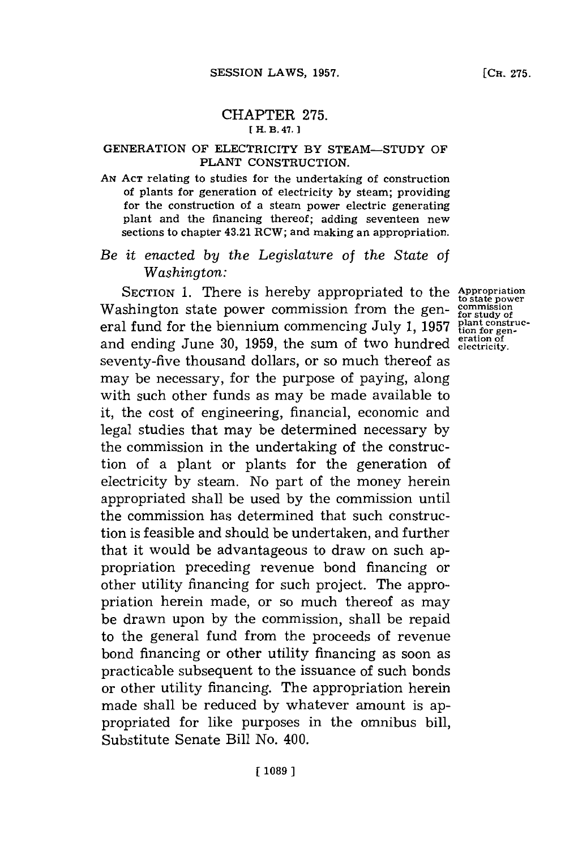## CHAPTER **275. [ H. B. 47.]**

## GENERATION OF ELECTRICITY BY **STEAM-STUDY** OF **PLANT** CONSTRUCTION.

**AN ACT** relating to studies for the undertaking of construction of plants for generation of electricity **by** steam; providing for the construction of a steam power electric generating plant and the financing thereof; adding seventeen new sections to chapter 43.21 RCW; and making an appropriation.

## *Be it enacted by the Legislature* of *the State of Washington:*

SECTION **1.** There is hereby appropriated to the Washington state power commission from the general fund for the biennium commencing July **1, 1957 plant construc-tion for gen- eration of** and ending June **30, 1959,** the sum of two hundred **electricity.** seventy-five thousand dollars, or so much thereof as may be necessary, for the purpose of paying, along with such other funds as may be made available to it, the cost of engineering, financial, economic and legal studies that may be determined necessary **by** the commission in the undertaking of the construction of a plant or plants for the generation of electricity **by** steam. No part of the money herein appropriated shall be used **by** the commission until the commission has determined that such construction is feasible and should be undertaken, and further that it would be advantageous to draw on such appropriation preceding revenue bond financing or other utility financing for such project. The appropriation herein made, or so much thereof as may be drawn upon **by** the commission, shall be repaid to the general fund from the proceeds of revenue bond financing or other utility financing as soon as practicable subsequent to the issuance of such bonds or other utility financing. The appropriation herein made shall be reduced **by** whatever amount is appropriated for like purposes in the omnibus bill, Substitute Senate Bill No. 400.

**Appropriation to state power commission for study of**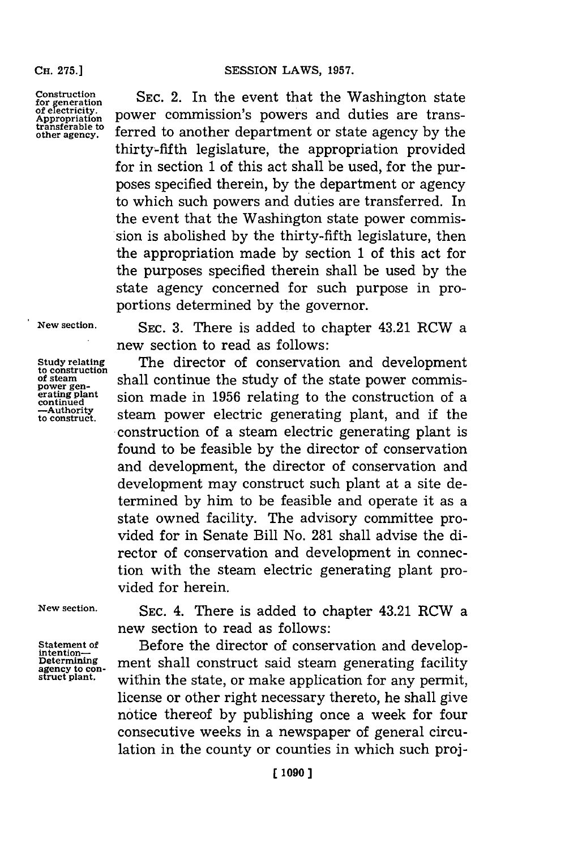**Construction** for generation<br>of electricity. **Appropriation transferable to other agency.**

**SEC.** 2. In the event that the Washington state power commission's powers and duties are transferred to another department or state agency **by** the thirty-fifth legislature, the appropriation provided for in section **1** of this act shall be used, for the purposes specified therein, **by** the department or agency to which such powers and duties are transferred. In the event that the Washington state power commission is abolished **by** the thirty-fifth legislature, then the appropriation made **by** section **1** of this act for the purposes specified therein shall be used **by** the state agency concerned for such purpose in proportions determined **by** the governor.

**New section.**

**Study relating to construction of steam power gen- erating plant continued -Authority to construct.**

**SEC. 3.** There is added to chapter 43.21 RCW a new section to read as follows:

The director of conservation and development Shall continue the study of the state power commission made in **1956** relating to the construction of a steam power electric generating plant, and if the construction of a steam electric generating plant is found to be feasible **by** the director of conservation and development, the director of conservation and development may construct such plant at a site determined **by** him to be feasible and operate it as a state owned facility. The advisory committee provided for in Senate Bill No. **281** shall advise the director of conservation and development in connection with the steam electric generating plant provided for herein.

**New section.**

**Statement of intention-Determining agency to construct plant.**

**SEC.** 4. There is added to chapter 43.21 RCW a new section to read as follows:

Before the director of conservation and development shall construct said steam generating facility within the state, or make application for any permit, license or other right necessary thereto, he shall give notice thereof **by** publishing once a week for four consecutive weeks in a newspaper of general circulation in the county or counties in which such proj-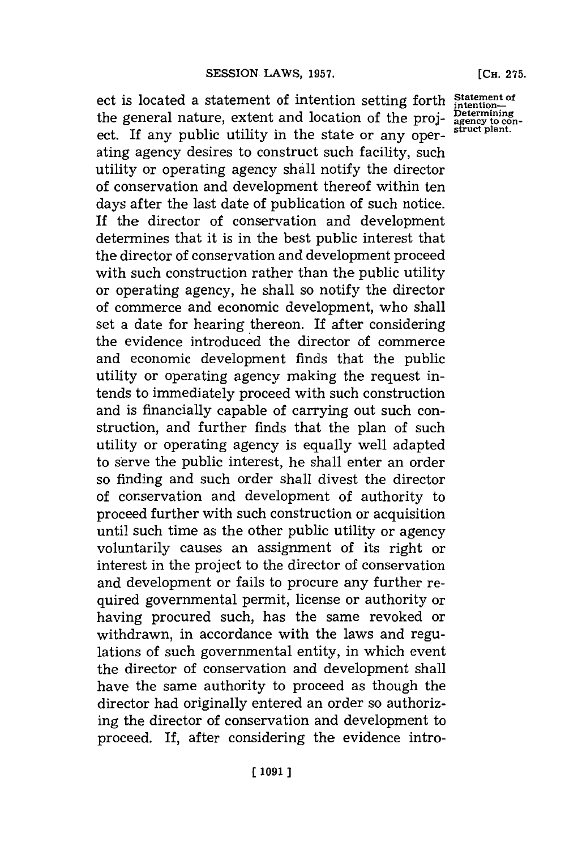ect is located a statement of intention setting forth the general nature, extent and location of the project. If any public utility in the state or any operating agency desires to construct such facility, such utility or operating agency shall notify the director of conservation and development thereof within ten days after the last date of publication of such notice. If the director of conservation and development determines that it is in the best public interest that the director of conservation and development proceed with such construction rather than the public utility or operating agency, he shall so notify the director of commerce and economic development, who shall set a date for hearing thereon. If after considering the evidence introduced the director of commerce and economic development finds that the public utility or operating agency making the request intends to immediately proceed with such construction and is financially capable of carrying out such construction, and further finds that the plan of such utility or operating agency is equally well adapted to serve the public interest, he shall enter an order so finding and such order shall divest the director of conservation and development of authority to proceed further with such construction or acquisition until such time as the other public utility or agency voluntarily causes an assignment of its right or interest in the project to the director of conservation and development or fails to procure any further required governmental permit, license or authority or having procured such, has the same revoked or withdrawn, in accordance with the laws and regulations of such governmental entity, in which event the director of conservation and development shall have the same authority to proceed as though the director had originally entered an order so authorizing the director of conservation and development to proceed. If, after considering the evidence intro-

**Statement of intention-Determining agency to con- struct plant.**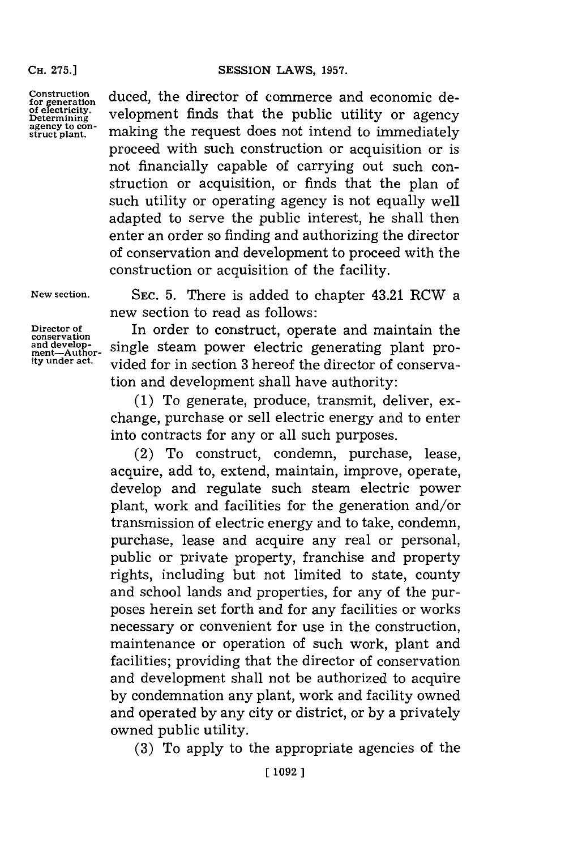**CH. 275.]**

**Construction** for generation<br>of electricity.<br>Determining **agency to con- struct plant.** duced, the director of commerce and economic development finds that the public utility or agency making the request does not intend to immediately proceed with such construction or acquisition or is not financially capable of carrying out such construction or acquisition, or finds that the plan of such utility or operating agency is not equally well adapted to serve the public interest, he shall then enter an order so finding and authorizing the director of conservation and development to proceed with the construction or acquisition of the facility.

**New section.**

**Director of**  $\begin{array}{l} \text{conservation} \text{and develop} \text{-}\text{ment--Author} \text{ity under act.} \end{array}$ 

**SEC. 5.** There is added to chapter 43.21 RCW a new section to read as follows:

In order to construct, operate and maintain the single steam power electric generating plant provided for in section **3** hereof the director of conservation and development shall have authority:

**(1)** To generate, produce, transmit, deliver, exchange, purchase or sell electric energy and to enter into contracts for any or all such purposes.

(2) To construct, condemn, purchase, lease, acquire, add to, extend, maintain, improve, operate, develop and regulate such steam electric power plant, work and facilities for the generation and/or transmission of electric energy and to take, condemn, purchase, lease and acquire any real or personal, public or private property, franchise and property rights, including but not limited to state, county and school lands and properties, for any of the purposes herein set forth and **for** any facilities or works necessary or convenient for use in the construction, maintenance or operation of such work, plant and facilities; providing that the director of conservation and development shall not be authorized to acquire **by** condemnation any plant, work and facility owned and operated **by** any city or district, or **by** a privately owned public utility.

**(3)** To apply to the appropriate agencies of the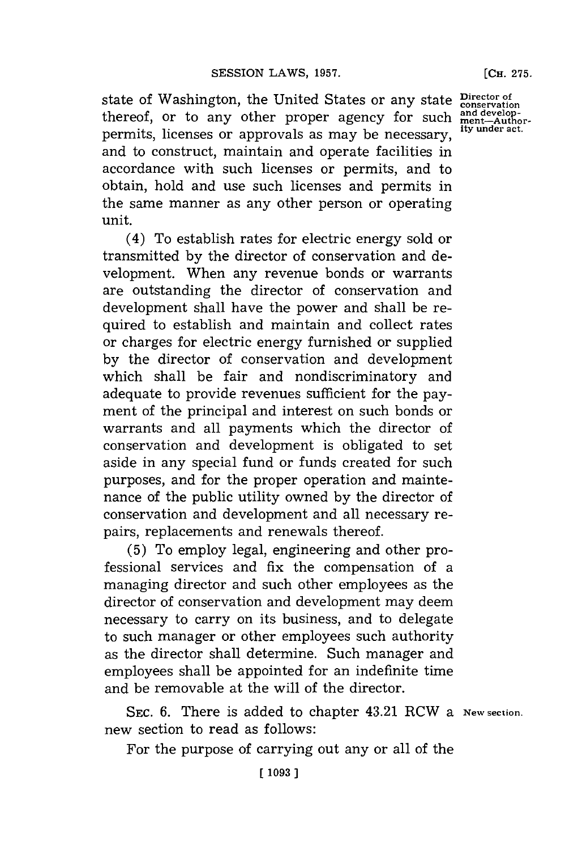state of Washington, the United States or any state **Director of**<br>thereof, or to any other proper agency for such  $\frac{\text{and development}}{\text{met}-\text{Author}}$ <br>normits licenses or approximately as move be possessent ity under act. thereof, or to any other proper agency for such permits, licenses or approvals as may be necessary, and to construct, maintain and operate facilities in accordance with such licenses or permits, and to obtain, hold and use such licenses and permits in the same manner as any other person or operating unit.

(4) To establish rates for electric energy sold or transmitted **by** the director of conservation and development. When any revenue bonds or warrants are outstanding the director of conservation and development shall have the power and shall be required to establish and maintain and collect rates or charges for electric energy furnished or supplied **by** the director of conservation and development which shall be fair and nondiscriminatory and adequate to provide revenues sufficient for the payment of the principal and interest on such bonds or warrants and all payments which the director of conservation and development is obligated to set aside in any special fund or funds created for such purposes, and for the proper operation and maintenance of the public utility owned **by** the director of conservation and development and all necessary repairs, replacements and renewals thereof.

**(5)** To employ legal, engineering and other professional services and fix the compensation of a managing director and such other employees as the director of conservation and development may deem necessary to carry on its business, and to delegate to such manager or other employees such authority as the director shall determine. Such manager and employees shall be appointed for an indefinite time and be removable at the will of the director.

SEC. 6. There is added to chapter 43.21 RCW a New section. new section to read as follows:

For the purpose of carrying out any or all of the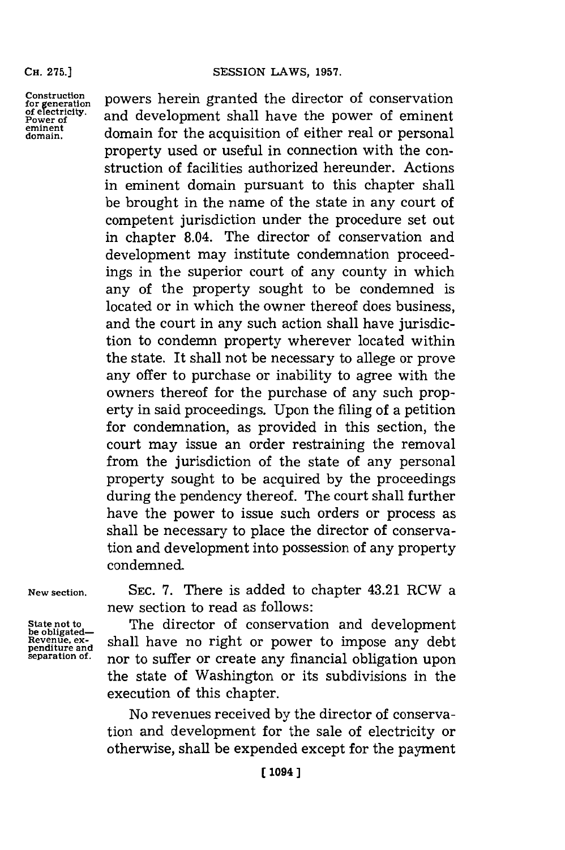## SESSION LAWS, 1957.

**CH. 275.]**

Construction powers herein granted the director of conservation for electricity. and development shall have the novier of eminent of electricity. and development shall have the power of eminent **eminent** domain for the acquisition of either real or personal property used or useful in connection with the construction of facilities authorized hereunder. Actions in eminent domain pursuant to this chapter shall be brought in the name of the state in any court of competent jurisdiction under the procedure set out in chapter 8.04. The director of conservation and development may institute condemnation proceedings in the superior court of any county in which any of the property sought to be condemned is located or in which the owner thereof does business, and the court in any such action shall have jurisdiction to condemn property wherever located within the state. It shall not be necessary to allege or prove any offer to purchase or inability to agree with the owners thereof for the purchase of any such property in said proceedings. Upon the filing of a petition for condemnation, as provided in this section, the court may issue an order restraining the removal from the jurisdiction of the state of any personal property sought to be acquired **by** the proceedings during the pendency thereof. The court shall further have the power to issue such orders or process as shall be necessary to place the director of conservation and development into possession of any property condemned.

New section. SEC. 7. There is added to chapter 43.21 RCW a new section to read as follows:

State not to **The director of conservation and development**  $\frac{Re\text{value, ex}}{Im\text{ temperature, and}}$  shall have no right or power to impose any debt **penditure and**  $\frac{Im\text{value}}{Im\text{}}$  or to suffer or graphs any financial obligation upon **separation of.** nor to suffer or create any financial obligation upon the state of Washington or its subdivisions in the execution of this chapter.

> No revenues received **by** the director of conservation and development for the sale of electricity or otherwise, shall be expended except for the payment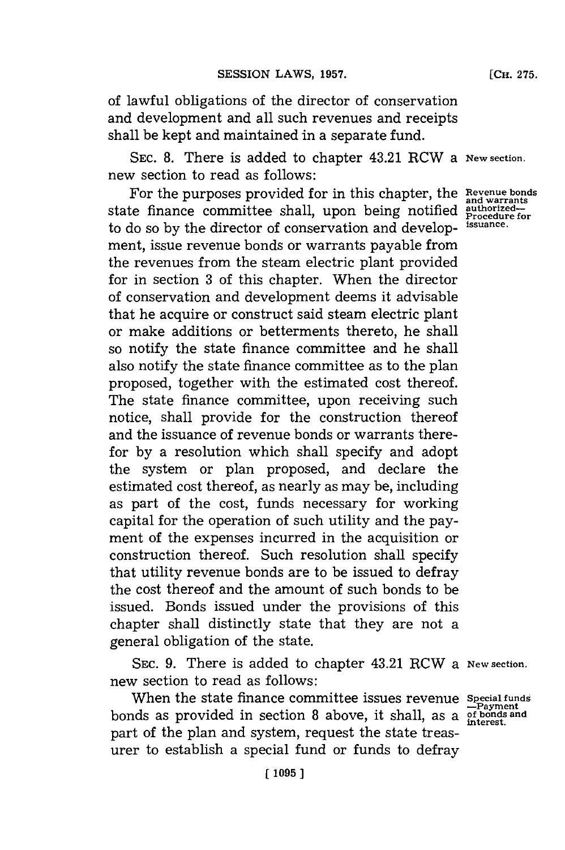of lawful obligations of the director of conservation and development and all such revenues and receipts shall be kept and maintained in a separate fund.

**SEC. 8.** There is added to chapter 43.21 RCW a **New section.** new section to read as follows:

For the purposes provided for in this chapter, the **Revenue bonds and warrants** state finance committee shall, upon being notified authorized-<br>to do so by the divestor of concentration and davalane issuarce. to do so **by** the director of conservation and develop- **issuance.** ment, issue revenue bonds or warrants payable from the revenues from the steam electric plant provided for in section **3** of this chapter. When the director of conservation and development deems it advisable that he acquire or construct said steam electric plant or make additions or betterments thereto, he shall so notify the state finance committee and he shall also notify the state finance committee as to the plan proposed, together with the estimated cost thereof. The state finance committee, upon receiving such notice, shall provide for the construction thereof and the issuance of revenue bonds or warrants therefor **by** a resolution which shall specify and adopt the system or plan proposed, and declare the estimated cost thereof, as nearly as may be, including as part of the cost, funds necessary for working capital for the operation of such utility and the payment of the expenses incurred in the acquisition or construction thereof. Such resolution shall specify that utility revenue bonds are to be issued to defray the cost thereof and the amount of such bonds to be issued. Bonds issued under the provisions of this chapter shall distinctly state that they are not a general obligation of the state.

**SEC. 9.** There is added to chapter 43.21 RCW a **New section.** new section to read as follows:

When the state finance committee issues revenue *Special funds* **-.Payment** bonds as provided in section **8** above, it shall, as a **ofbonds and interest.** part of the plan and system, request the state treasurer to establish a special fund or funds to defray

**[CH. 275.**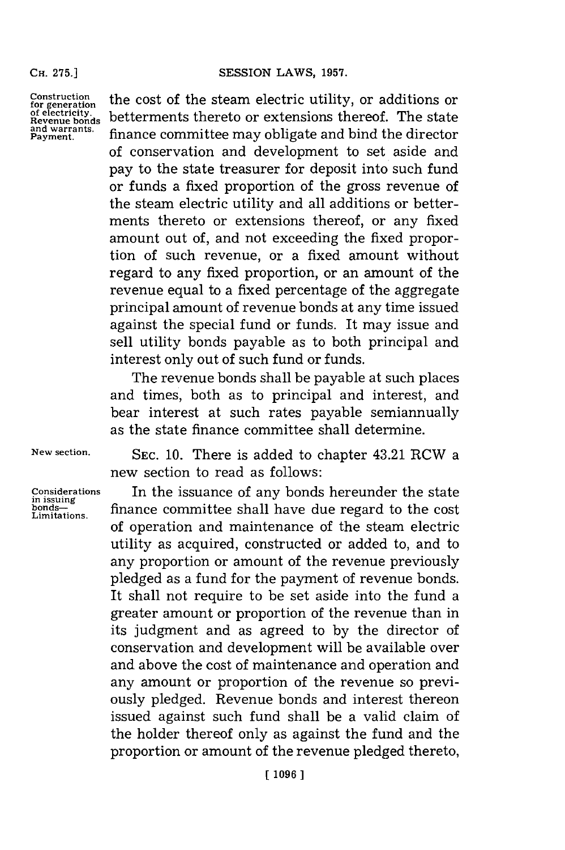**CH. 275.]**

**Construction for generation of electricity. Revenue bonds and warrants. Payment.**

the cost of the steam electric utility, or additions or betterments thereto or extensions thereof. The state finance committee may obligate and bind the director of conservation and development to set aside and pay to the state treasurer for deposit into such fund or funds a fixed proportion of the gross revenue of the steam electric utility and all additions or betterments thereto or extensions thereof, or any fixed amount out of, and not exceeding the fixed proportion of such revenue, or a fixed amount without regard to any fixed proportion, or an amount of the revenue equal to a fixed percentage of the aggregate principal amount of revenue bonds at any time issued against the special fund or funds. It may issue and sell utility bonds payable as to both principal and interest only out of such fund or funds.

The revenue bonds shall be payable at such places and times, both as to principal and interest, and bear interest at such rates payable semiannually as the state finance committee shall determine.

**New section.**

**Considerations in issuing bonds-Limitations.**

**SEC. 10.** There is added to chapter 43.21 RCW a new section to read as follows:

In the issuance of any bonds hereunder the state finance committee shall have due regard to the cost of operation and maintenance of the steam electric utility as acquired, constructed or added to, and to any proportion or amount of the revenue previously pledged as a fund for the payment of revenue bonds. It shall not require to be set aside into the fund a greater amount or proportion of the revenue than in its judgment and as agreed to **by** the director of conservation and development will be available over and above the cost of maintenance and operation and any amount or proportion of the revenue so previously pledged. Revenue bonds and interest thereon issued against such fund shall be a valid claim of the holder thereof only as against the fund and the proportion or amount of the revenue pledged thereto,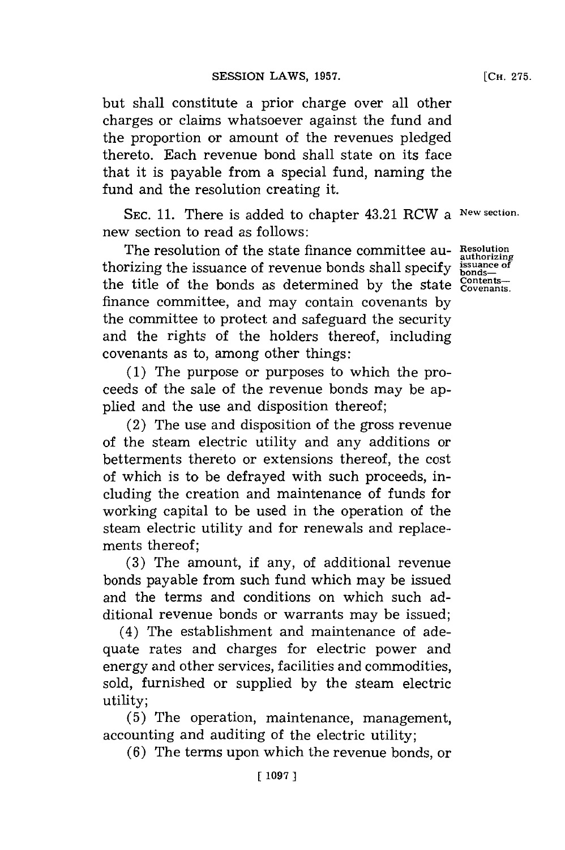but shall constitute a prior charge over all other charges or claims whatsoever against the fund and the proportion or amount of the revenues pledged thereto. Each revenue bond shall state on its face that it is payable from a special fund, naming the fund and the resolution creating it.

**SEC. 11.** There is added to chapter 43.21 RCW a **New section.** new section to read as follows:

The resolution of the state finance committee au-<br>rizing the issuance of revenue bonds shall specify issuance of thorizing the issuance of revenue bonds shall specify  $\frac{\text{issuan}}{\text{bonds-}}$ the title of the bonds as determined by the state contentsfinance committee, and may contain covenants **by** the committee to protect and safeguard the security and the rights of the holders thereof, including covenants as to, among other things:

**(1)** The purpose or purposes to which the proceeds of the sale of the revenue bonds may be applied and the use and disposition thereof;

(2) The use and disposition of the gross revenue of the steam electric utility and any additions or betterments thereto or extensions thereof, the cost of which is to be defrayed with such proceeds, including the creation and maintenance of funds for working capital to be used in the operation of the steam electric utility and for renewals and replacements thereof;

**(3)** The amount, if any, of additional revenue bonds payable from such fund which may be issued and the terms and conditions on which such additional revenue bonds or warrants may be issued;

(4) The establishment and maintenance of adequate rates and charges for electric power and energy and other services, facilities and commodities, sold, furnished or supplied **by** the steam electric utility;

**(5)** The operation, maintenance, management, accounting and auditing of the electric utility;

**(6)** The terms upon which the revenue bonds, or

**[1097 ]**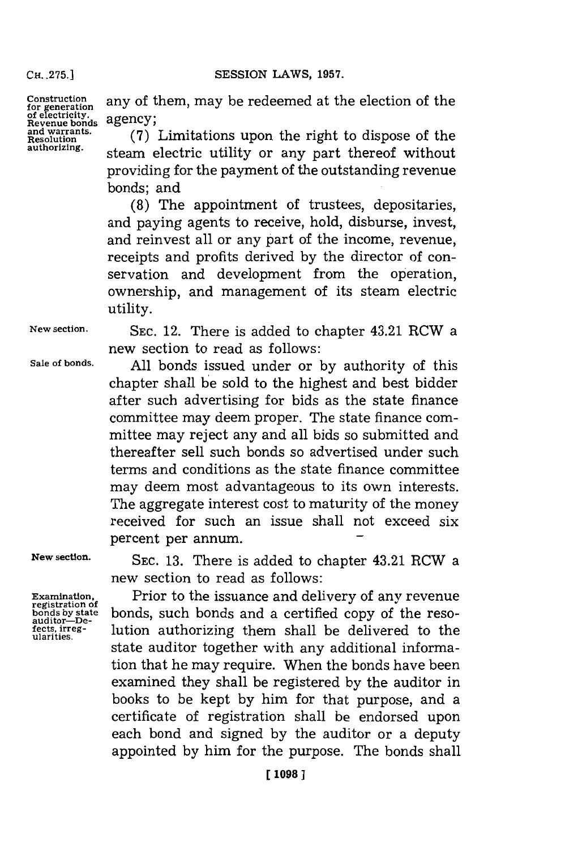**CH. .75.]SESSION LAWS, 1957.**

**CH\_275.1**

Construction any of them, may be redeemed at the election of the of electricity.<br> **gradient** agency;<br> **agency**;

and warrants. **Tand warrants.** (7) Limitations upon the right to dispose of the resolution at the order of the authorizing. steam electric utility or any part thereof without providing for the payment of the outstanding revenue bonds; and

> **(8)** The appointment of trustees, depositaries, and paying agents to receive, hold, disburse, invest, and reinvest all or any part of the income, revenue, receipts and profits derived **by** the director of conservation and development from the operation, ownership, and management of its steam electric utility.

**New section. SEC.** 12. There is added to chapter 43.21 RCW a new section to read as follows:

**Sale of bonds. All** bonds issued under or **by** authority of this chapter shall be sold to the highest and best bidder after such advertising for bids as the state finance committee may deem proper. The state finance committee may reject any and all bids so submitted and thereafter sell such bonds so advertised under such terms and conditions as the state finance committee may deem most advantageous to its own interests. The aggregate interest cost to maturity of the money received for such an issue shall not exceed six percent per annum.

**New section.**

**Examination, registration of bonds by state auditor-\_Defects, irreg- ularities.**

**SEC. 13.** There is added to chapter 43.21 RCW a new section to read as follows:

Prior to the issuance and delivery of any revenue bonds, such bonds and a certified copy of the resolution authorizing them shall be delivered to the state auditor together with any additional information that he may require. When the bonds have been examined they shall be registered **by** the auditor in books to be kept **by** him for that purpose, and a certificate of registration shall be endorsed upon each bond and signed **by** the auditor or a deputy appointed **by** him for the purpose. The bonds shall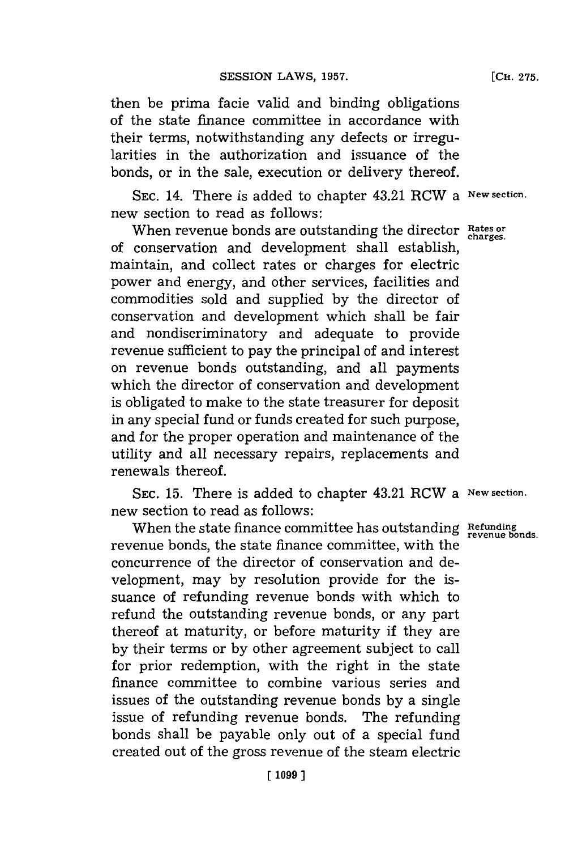then be prima facie valid and binding obligations of the state finance committee in accordance with their terms, notwithstanding any defects or irregularities in the authorization and issuance of the bonds, or in the sale, execution or delivery thereof.

**SEC.** 14. There is added to chapter 43.21 RCW a **New section.** new section to read as follows:

When revenue bonds are outstanding the director **Rates or charges.** of conservation and development shall establish, maintain, and collect rates or charges for electric power and energy, and other services, facilities and commodities sold and supplied **by** the director of conservation and development which shall be fair and nondiscriminatory and adequate to provide revenue sufficient to pay the principal of and interest on revenue bonds outstanding, and all payments which the director of conservation and development is obligated to make to the state treasurer for deposit in any special fund or funds created for such purpose, and for the proper operation and maintenance of the utility and all necessary repairs, replacements and renewals thereof.

**SEC. 15.** There is added to chapter 43.21 RCW a **New section.** new section to read as follows:

When the state finance committee has outstanding **Refunding revenue bonds.** revenue bonds, the state finance committee, with the concurrence of the director of conservation and development, may **by** resolution provide for the issuance of refunding revenue bonds with which to refund the outstanding revenue bonds, or any part thereof at maturity, or before maturity if they are **by** their terms or **by** other agreement subject to call for prior redemption, with the right in the state finance committee to combine various series and issues of the outstanding revenue bonds **by** a single issue of refunding revenue bonds. The refunding bonds shall be payable only out of a special fund created out of the gross revenue of the steam electric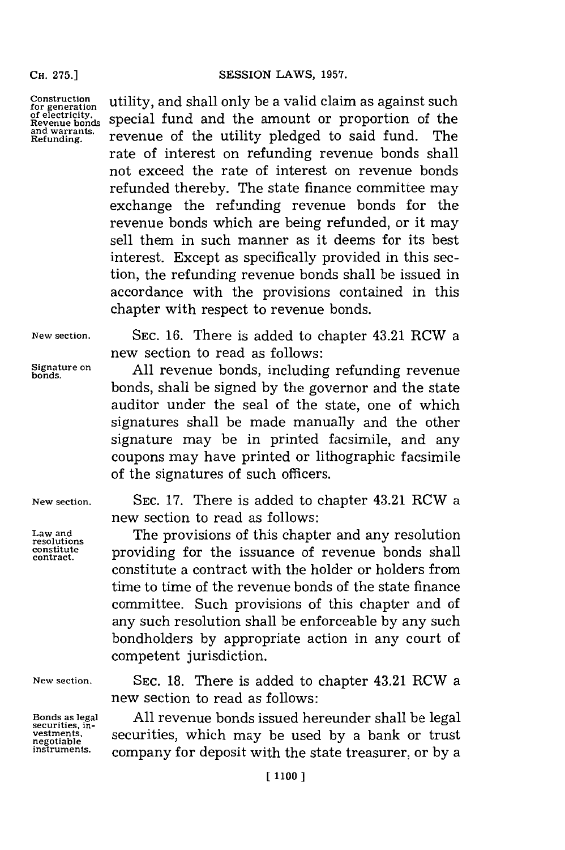**CHi. 275.]**

**Construction for generation of electricity. Revenue bonds and warrants. Refunding.**

utility, and shall only be a valid claim as against such special fund and the amount or proportion of the revenue of the utility pledged to said fund. The rate of interest on refunding revenue bonds shall not exceed the rate of interest on revenue bonds refunded thereby. The state finance committee may exchange the refunding revenue bonds for the revenue bonds which are being refunded, or it may sell them in such manner as it deems for its best interest. Except as specifically provided in this section, the refunding revenue bonds shall be issued in accordance with the provisions contained in this chapter with respect to revenue bonds.

**New section. SEC. 16.** There is added to chapter 43.21 RCW a new section to read as follows:

Signature on **All revenue bonds, including refunding revenue** bonds, shall be signed **by** the governor and the state auditor under the seal of the state, one of which signatures shall be made manually and the other signature may be in printed facsimile, and any coupons may have printed or lithographic facsimile of the signatures of such officers.

New section.

**Law and** resolutions **constitute contract.**

**New section.**

**Bonds as legal securities. investments, negotiable instruments.**

**SEC. 17.** There is added to chapter 43.21 RCW a new section to read as follows:

The provisions of this chapter and any resolution providing for the issuance of revenue bonds shall constitute a contract with the holder or holders from time to time of the revenue bonds of the state finance committee. Such provisions of this chapter and of any such resolution shall be enforceable **by** any such bondholders **by** appropriate action in any court of competent jurisdiction.

**SEC. 18.** There is added to chapter 43.21 RCW a new section to read as follows:

**All** revenue bonds issued hereunder shall be legal securities, which may be used **by** a bank or trust company for deposit with the state treasurer, or **by** a